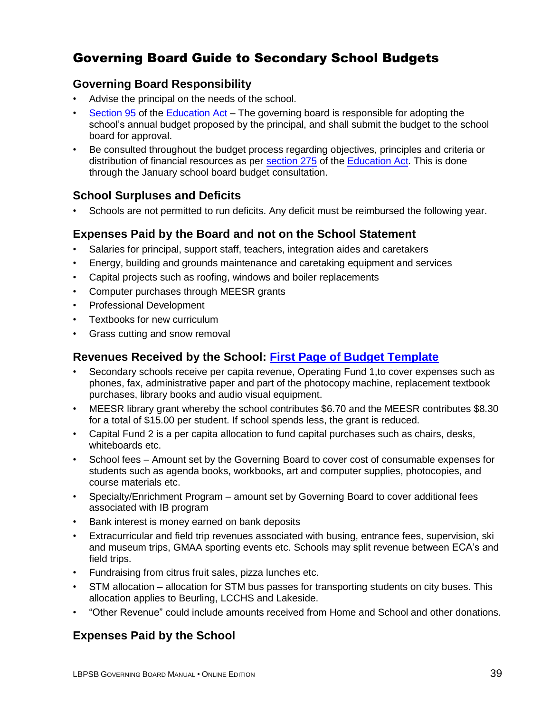# Governing Board Guide to Secondary School Budgets

#### **Governing Board Responsibility**

- Advise the principal on the needs of the school.
- [Section](http://www2.publicationsduquebec.gouv.qc.ca/dynamicSearch/telecharge.php?type=2&file=/I_13_3/I13_3_A.html#s95) 95 of the [Education Act](http://www2.publicationsduquebec.gouv.qc.ca/dynamicSearch/telecharge.php?type=2&file=/I_13_3/I13_3_A.html) The governing board is responsible for adopting the school's annual budget proposed by the principal, and shall submit the budget to the school board for approval.
- Be consulted throughout the budget process regarding objectives, principles and criteria or distribution of financial resources as per [section 275](http://www2.publicationsduquebec.gouv.qc.ca/dynamicSearch/telecharge.php?type=2&file=/I_13_3/I13_3_A.html#s275) of the [Education Act.](http://www2.publicationsduquebec.gouv.qc.ca/dynamicSearch/telecharge.php?type=2&file=/I_13_3/I13_3_A.html) This is done through the January school board budget consultation.

#### **School Surpluses and Deficits**

• Schools are not permitted to run deficits. Any deficit must be reimbursed the following year.

#### **Expenses Paid by the Board and not on the School Statement**

- Salaries for principal, support staff, teachers, integration aides and caretakers
- Energy, building and grounds maintenance and caretaking equipment and services
- Capital projects such as roofing, windows and boiler replacements
- Computer purchases through MEESR grants
- Professional Development
- Textbooks for new curriculum
- Grass cutting and snow removal

#### **Revenues Received by the School: [First Page of Budget Template](#page-3-0)**

- Secondary schools receive per capita revenue, Operating Fund 1,to cover expenses such as phones, fax, administrative paper and part of the photocopy machine, replacement textbook purchases, library books and audio visual equipment.
- MEESR library grant whereby the school contributes \$6.70 and the MEESR contributes \$8.30 for a total of \$15.00 per student. If school spends less, the grant is reduced.
- Capital Fund 2 is a per capita allocation to fund capital purchases such as chairs, desks, whiteboards etc.
- School fees Amount set by the Governing Board to cover cost of consumable expenses for students such as agenda books, workbooks, art and computer supplies, photocopies, and course materials etc.
- Specialty/Enrichment Program amount set by Governing Board to cover additional fees associated with IB program
- Bank interest is money earned on bank deposits
- Extracurricular and field trip revenues associated with busing, entrance fees, supervision, ski and museum trips, GMAA sporting events etc. Schools may split revenue between ECA's and field trips.
- Fundraising from citrus fruit sales, pizza lunches etc.
- STM allocation allocation for STM bus passes for transporting students on city buses. This allocation applies to Beurling, LCCHS and Lakeside.
- "Other Revenue" could include amounts received from Home and School and other donations.

#### **Expenses Paid by the School**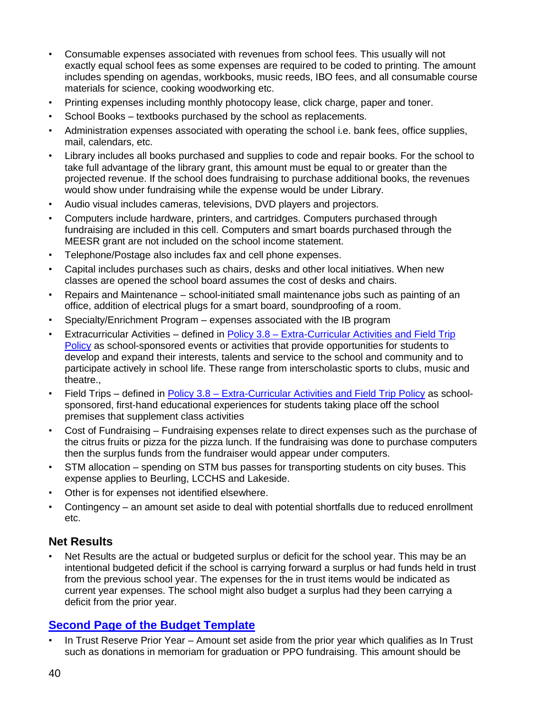- Consumable expenses associated with revenues from school fees. This usually will not exactly equal school fees as some expenses are required to be coded to printing. The amount includes spending on agendas, workbooks, music reeds, IBO fees, and all consumable course materials for science, cooking woodworking etc.
- Printing expenses including monthly photocopy lease, click charge, paper and toner.
- School Books textbooks purchased by the school as replacements.
- Administration expenses associated with operating the school i.e. bank fees, office supplies, mail, calendars, etc.
- Library includes all books purchased and supplies to code and repair books. For the school to take full advantage of the library grant, this amount must be equal to or greater than the projected revenue. If the school does fundraising to purchase additional books, the revenues would show under fundraising while the expense would be under Library.
- Audio visual includes cameras, televisions, DVD players and projectors.
- Computers include hardware, printers, and cartridges. Computers purchased through fundraising are included in this cell. Computers and smart boards purchased through the MEESR grant are not included on the school income statement.
- Telephone/Postage also includes fax and cell phone expenses.
- Capital includes purchases such as chairs, desks and other local initiatives. When new classes are opened the school board assumes the cost of desks and chairs.
- Repairs and Maintenance school-initiated small maintenance jobs such as painting of an office, addition of electrical plugs for a smart board, soundproofing of a room.
- Specialty/Enrichment Program expenses associated with the IB program
- Extracurricular Activities defined in Policy 3.8 [Extra-Curricular Activities and Field Trip](http://www.lbpsb.qc.ca/content/policies/Extra_Curricular_and_FieldTrip_Policy_Eng_Jun29_09.pdf)  [Policy](http://www.lbpsb.qc.ca/content/policies/Extra_Curricular_and_FieldTrip_Policy_Eng_Jun29_09.pdf) as school-sponsored events or activities that provide opportunities for students to develop and expand their interests, talents and service to the school and community and to participate actively in school life. These range from interscholastic sports to clubs, music and theatre.,
- Field Trips defined in **Policy 3.8 [Extra-Curricular Activities and Field Trip Policy](http://www.lbpsb.qc.ca/content/policies/Extra_Curricular_and_FieldTrip_Policy_Eng_Jun29_09.pdf) as school**sponsored, first-hand educational experiences for students taking place off the school premises that supplement class activities
- Cost of Fundraising Fundraising expenses relate to direct expenses such as the purchase of the citrus fruits or pizza for the pizza lunch. If the fundraising was done to purchase computers then the surplus funds from the fundraiser would appear under computers.
- STM allocation spending on STM bus passes for transporting students on city buses. This expense applies to Beurling, LCCHS and Lakeside.
- Other is for expenses not identified elsewhere.
- Contingency an amount set aside to deal with potential shortfalls due to reduced enrollment etc.

## **Net Results**

Net Results are the actual or budgeted surplus or deficit for the school year. This may be an intentional budgeted deficit if the school is carrying forward a surplus or had funds held in trust from the previous school year. The expenses for the in trust items would be indicated as current year expenses. The school might also budget a surplus had they been carrying a deficit from the prior year.

## **[Second Page of the Budget Template](#page-4-0)**

In Trust Reserve Prior Year – Amount set aside from the prior year which qualifies as In Trust such as donations in memoriam for graduation or PPO fundraising. This amount should be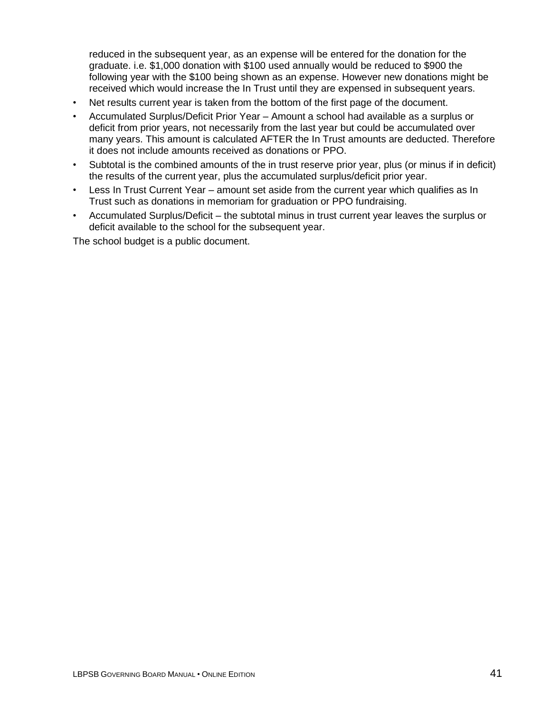reduced in the subsequent year, as an expense will be entered for the donation for the graduate. i.e. \$1,000 donation with \$100 used annually would be reduced to \$900 the following year with the \$100 being shown as an expense. However new donations might be received which would increase the In Trust until they are expensed in subsequent years.

- Net results current year is taken from the bottom of the first page of the document.
- Accumulated Surplus/Deficit Prior Year Amount a school had available as a surplus or deficit from prior years, not necessarily from the last year but could be accumulated over many years. This amount is calculated AFTER the In Trust amounts are deducted. Therefore it does not include amounts received as donations or PPO.
- Subtotal is the combined amounts of the in trust reserve prior year, plus (or minus if in deficit) the results of the current year, plus the accumulated surplus/deficit prior year.
- Less In Trust Current Year amount set aside from the current year which qualifies as In Trust such as donations in memoriam for graduation or PPO fundraising.
- Accumulated Surplus/Deficit the subtotal minus in trust current year leaves the surplus or deficit available to the school for the subsequent year.

The school budget is a public document.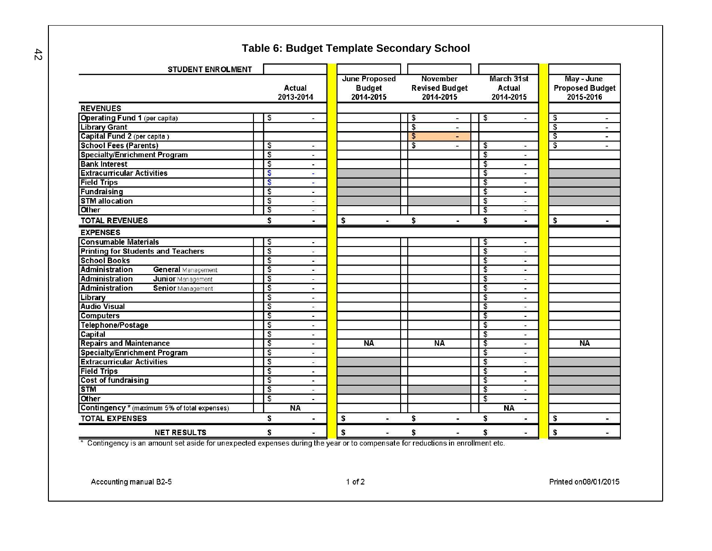# **Table 6: Budget Template Secondary School**

| <b>STUDENT ENROLMENT</b>                           |                                                       |                            |                          |                                    |                             |                          |                         |                                      |                |
|----------------------------------------------------|-------------------------------------------------------|----------------------------|--------------------------|------------------------------------|-----------------------------|--------------------------|-------------------------|--------------------------------------|----------------|
|                                                    | <b>Actual</b>                                         | <b>June Proposed</b>       |                          | November                           | March 31st<br><b>Actual</b> |                          |                         | May - June<br><b>Proposed Budget</b> |                |
|                                                    | 2013-2014                                             | <b>Budget</b><br>2014-2015 |                          | <b>Revised Budget</b><br>2014-2015 | 2014-2015                   |                          |                         | 2015-2016                            |                |
| <b>REVENUES</b>                                    |                                                       |                            |                          |                                    |                             |                          |                         |                                      |                |
| <b>Operating Fund 1 (per capita)</b>               | \$<br>$\blacksquare$                                  |                            | \$                       | $\overline{\phantom{a}}$           | \$                          |                          | \$                      |                                      | $\blacksquare$ |
| <b>Library Grant</b>                               |                                                       |                            | $\overline{\mathbf{3}}$  | -                                  |                             |                          | $\overline{\mathbf{S}}$ |                                      |                |
| Capital Fund 2 (per capita)                        |                                                       |                            | $\overline{\mathcal{E}}$ | ÷                                  |                             |                          | $\overline{\mathsf{s}}$ |                                      | Ξ.             |
| <b>School Fees (Parents)</b>                       | \$<br>w.                                              |                            | $\overline{\mathbf{3}}$  | $\tilde{\phantom{a}}$              | \$                          | ×.                       | \$                      |                                      |                |
| <b>Specialty/Enrichment Program</b>                | $\overline{\mathbf{S}}$<br>w)                         |                            |                          |                                    | s                           | ٠.                       |                         |                                      |                |
| <b>Bank Interest</b>                               | $\overline{\mathbf{3}}$<br>$\sim$                     |                            |                          |                                    | \$                          | ò.                       |                         |                                      |                |
| <b>Extracurricular Activities</b>                  | $\boldsymbol{\hat{s}}$<br>$\blacksquare$              |                            |                          |                                    | \$                          | у.                       |                         |                                      |                |
| <b>Field Trips</b>                                 | $\boldsymbol{\mathsf{s}}$<br>÷                        |                            |                          |                                    | \$                          | $\blacksquare$           |                         |                                      |                |
| Fundraising                                        | $\overline{\mathbf{3}}$<br>Ξ                          |                            |                          |                                    | \$                          | ÷                        |                         |                                      |                |
| <b>STM allocation</b>                              | $\overline{\mathbf{S}}$<br>$\overline{\phantom{a}}$   |                            |                          |                                    | \$                          | ٠                        |                         |                                      |                |
| Other                                              | $\frac{1}{2}$<br>$\blacksquare$                       |                            |                          |                                    | \$                          | $\blacksquare$           |                         |                                      |                |
| <b>TOTAL REVENUES</b>                              | \$<br>$\blacksquare$                                  | \$<br>W                    | \$                       | $\blacksquare$                     | \$                          | $\blacksquare$           | \$                      |                                      |                |
| <b>EXPENSES</b>                                    |                                                       |                            |                          |                                    |                             |                          |                         |                                      |                |
| <b>Consumable Materials</b>                        | \$<br>$\blacksquare$                                  |                            |                          |                                    | \$                          | $\blacksquare$           |                         |                                      |                |
| <b>Printing for Students and Teachers</b>          | $\overline{\mathfrak{s}}$<br>u,                       |                            |                          |                                    | \$                          | ٠                        |                         |                                      |                |
| <b>School Books</b>                                | $\overline{\mathfrak{s}}$<br>$\blacksquare$           |                            |                          |                                    | \$                          | $\blacksquare$           |                         |                                      |                |
| <b>Administration</b><br><b>General Management</b> | $\overline{\mathfrak{s}}$<br>$\overline{\phantom{a}}$ |                            |                          |                                    | \$                          | $\blacksquare$           |                         |                                      |                |
| <b>Administration</b><br>Junior Management         | $\overline{\mathfrak{s}}$<br>$\blacksquare$           |                            |                          |                                    | s                           | $\overline{\phantom{a}}$ |                         |                                      |                |
| Administration<br><b>Senior</b> Management         | $\overline{\mathbf{3}}$<br>٠                          |                            |                          |                                    | \$                          | ÷                        |                         |                                      |                |
| Library                                            | $\overline{\mathfrak{s}}$<br>$\blacksquare$           |                            |                          |                                    | \$                          | $\blacksquare$           |                         |                                      |                |
| <b>Audio Visual</b>                                | $\overline{\mathfrak{s}}$<br>$\sim$                   |                            |                          |                                    | \$                          | $\sim$                   |                         |                                      |                |
| <b>Computers</b>                                   | $\overline{\mathbf{3}}$<br>$\blacksquare$             |                            |                          |                                    | \$                          | îщ.                      |                         |                                      |                |
| Telephone/Postage                                  | $\overline{\mathfrak{s}}$<br>$\overline{\phantom{a}}$ |                            |                          |                                    | \$                          | $\sim$                   |                         |                                      |                |
| Capital                                            | $\overline{\mathbf{S}}$<br>÷,                         |                            |                          |                                    | \$                          | ÷.                       |                         |                                      |                |
| <b>Repairs and Maintenance</b>                     | $\overline{\mathfrak{s}}$<br>$\blacksquare$           | <b>NA</b>                  |                          | <b>NA</b>                          | \$                          | $\sim$                   |                         | <b>NA</b>                            |                |
| <b>Specialty/Enrichment Program</b>                | $\overline{\mathfrak{s}}$<br>۷                        |                            |                          |                                    | \$                          | ٠                        |                         |                                      |                |
| <b>Extracurricular Activities</b>                  | $\overline{\mathfrak{s}}$<br>$\overline{\phantom{0}}$ |                            |                          |                                    | \$                          | $\overline{\phantom{a}}$ |                         |                                      |                |
| <b>Field Trips</b>                                 | $\sqrt{3}$<br>$\blacksquare$                          |                            |                          |                                    | \$                          | $\overline{a}$           |                         |                                      |                |
| <b>Cost of fundraising</b>                         | $\overline{\mathfrak{s}}$<br>÷.                       |                            |                          |                                    | \$                          | Ξ.                       |                         |                                      |                |
| <b>STM</b>                                         | $\overline{\mathfrak{s}}$<br>$\blacksquare$           |                            |                          |                                    | \$                          | $\blacksquare$           |                         |                                      |                |
| Other                                              | $\overline{\mathbf{S}}$<br>÷.                         |                            |                          |                                    | \$                          | ÷.                       |                         |                                      |                |
| Contingency * (maximum 5% of total expenses)       | <b>NA</b>                                             |                            |                          |                                    | <b>NA</b>                   |                          |                         |                                      |                |
| <b>TOTAL EXPENSES</b>                              | \$<br>à                                               | \$<br>$\blacksquare$       | \$                       | $\mathbf{a}$                       | \$                          |                          | \$                      |                                      | $\blacksquare$ |
| <b>NET RESULTS</b>                                 | s<br>$\blacksquare$                                   | S<br>$\sim$                |                          | s<br>$\hat{\phantom{a}}$           | s                           | $\blacksquare$           | S                       |                                      |                |

\* Contingency is an amount set aside for unexpected expenses during the year or to compensate for reductions in enrollment etc.

Accounting manual B2-5

<span id="page-3-0"></span> $42$